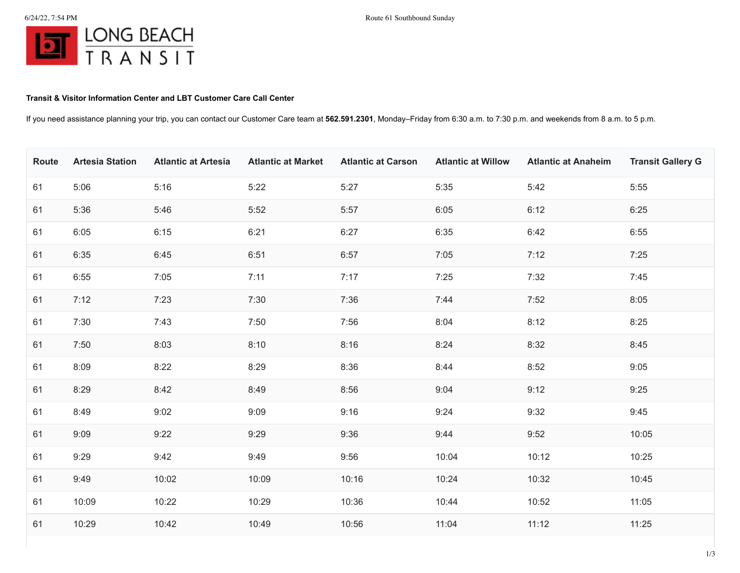## **Transit & Visitor Information Center and LBT Customer Care Call Center**

If you need assistance planning your trip, you can contact our Customer Care team at **562.591.2301**, Monday–Friday from 6:30 a.m. to 7:30 p.m. and weekends from 8 a.m. to 5 p.m.

| Route | <b>Artesia Station</b> | <b>Atlantic at Artesia</b> | <b>Atlantic at Market</b> | <b>Atlantic at Carson</b> | <b>Atlantic at Willow</b> | <b>Atlantic at Anaheim</b> | <b>Transit Gallery G</b> |
|-------|------------------------|----------------------------|---------------------------|---------------------------|---------------------------|----------------------------|--------------------------|
| 61    | 5:06                   | 5:16                       | 5:22                      | 5:27                      | 5:35                      | 5:42                       | 5:55                     |
| 61    | 5:36                   | 5:46                       | 5:52                      | 5:57                      | 6:05                      | 6:12                       | 6:25                     |
| 61    | 6:05                   | 6:15                       | 6:21                      | 6:27                      | 6:35                      | 6:42                       | 6:55                     |
| 61    | 6:35                   | 6:45                       | 6:51                      | 6:57                      | 7:05                      | 7:12                       | 7:25                     |
| 61    | 6:55                   | 7:05                       | 7:11                      | 7:17                      | 7:25                      | 7:32                       | 7:45                     |
| 61    | 7:12                   | 7:23                       | 7:30                      | 7:36                      | 7:44                      | 7:52                       | 8:05                     |
| 61    | 7:30                   | 7:43                       | 7:50                      | 7:56                      | 8:04                      | 8:12                       | 8:25                     |
| 61    | 7:50                   | 8:03                       | 8:10                      | 8:16                      | 8:24                      | 8:32                       | 8:45                     |
| 61    | 8:09                   | 8:22                       | 8:29                      | 8:36                      | 8:44                      | 8:52                       | 9:05                     |
| 61    | 8:29                   | 8:42                       | 8:49                      | 8:56                      | 9:04                      | 9:12                       | 9:25                     |
| 61    | 8:49                   | 9:02                       | 9:09                      | 9:16                      | 9:24                      | 9:32                       | 9:45                     |
| 61    | 9:09                   | 9:22                       | 9:29                      | 9:36                      | 9:44                      | 9:52                       | 10:05                    |
| 61    | 9:29                   | 9:42                       | 9:49                      | 9:56                      | 10:04                     | 10:12                      | 10:25                    |
| 61    | 9:49                   | 10:02                      | 10:09                     | 10:16                     | 10:24                     | 10:32                      | 10:45                    |
| 61    | 10:09                  | 10:22                      | 10:29                     | 10:36                     | 10:44                     | 10:52                      | 11:05                    |
| 61    | 10:29                  | 10:42                      | 10:49                     | 10:56                     | 11:04                     | 11:12                      | 11:25                    |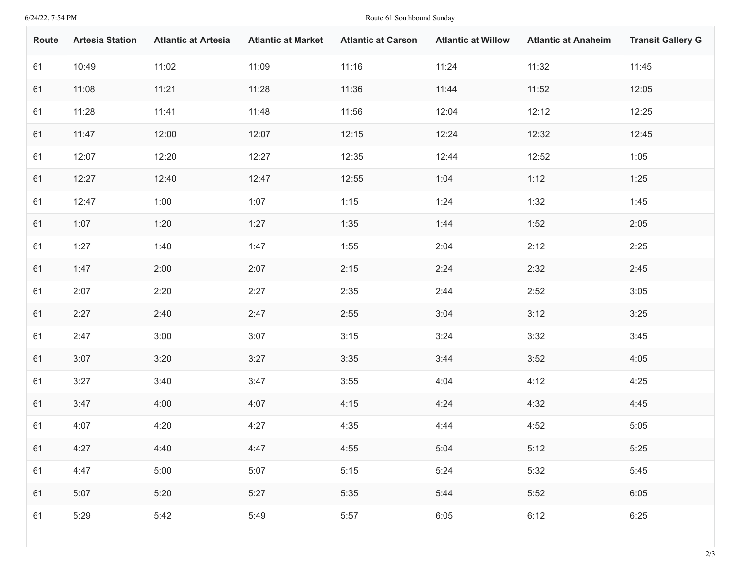## 6/24/22, 7:54 PM Route 61 Southbound Sunday

| Route | <b>Artesia Station</b> | <b>Atlantic at Artesia</b> | <b>Atlantic at Market</b> | <b>Atlantic at Carson</b> | <b>Atlantic at Willow</b> | <b>Atlantic at Anaheim</b> | <b>Transit Gallery G</b> |
|-------|------------------------|----------------------------|---------------------------|---------------------------|---------------------------|----------------------------|--------------------------|
| 61    | 10:49                  | 11:02                      | 11:09                     | 11:16                     | 11:24                     | 11:32                      | 11:45                    |
| 61    | 11:08                  | 11:21                      | 11:28                     | 11:36                     | 11:44                     | 11:52                      | 12:05                    |
| 61    | 11:28                  | 11:41                      | 11:48                     | 11:56                     | 12:04                     | 12:12                      | 12:25                    |
| 61    | 11:47                  | 12:00                      | 12:07                     | 12:15                     | 12:24                     | 12:32                      | 12:45                    |
| 61    | 12:07                  | 12:20                      | 12:27                     | 12:35                     | 12:44                     | 12:52                      | 1:05                     |
| 61    | 12:27                  | 12:40                      | 12:47                     | 12:55                     | 1:04                      | 1:12                       | 1:25                     |
| 61    | 12:47                  | 1:00                       | 1:07                      | 1:15                      | 1:24                      | 1:32                       | 1:45                     |
| 61    | 1:07                   | 1:20                       | 1:27                      | 1:35                      | 1:44                      | 1:52                       | 2:05                     |
| 61    | 1:27                   | 1:40                       | 1:47                      | 1:55                      | 2:04                      | 2:12                       | 2:25                     |
| 61    | 1:47                   | 2:00                       | 2:07                      | 2:15                      | 2:24                      | 2:32                       | 2:45                     |
| 61    | 2:07                   | 2:20                       | 2:27                      | 2:35                      | 2:44                      | 2:52                       | 3:05                     |
| 61    | 2:27                   | 2:40                       | 2:47                      | 2:55                      | 3:04                      | 3:12                       | 3:25                     |
| 61    | 2:47                   | 3:00                       | 3:07                      | 3:15                      | 3:24                      | 3:32                       | 3:45                     |
| 61    | 3:07                   | 3:20                       | 3:27                      | 3:35                      | 3:44                      | 3:52                       | 4:05                     |
| 61    | 3:27                   | 3:40                       | 3:47                      | 3:55                      | 4:04                      | 4:12                       | 4:25                     |
| 61    | 3:47                   | 4:00                       | 4:07                      | 4:15                      | 4:24                      | 4:32                       | 4:45                     |
| 61    | 4:07                   | 4:20                       | 4:27                      | 4:35                      | 4:44                      | 4:52                       | 5:05                     |
| 61    | 4:27                   | 4:40                       | 4:47                      | 4:55                      | 5:04                      | 5:12                       | 5:25                     |
| 61    | 4:47                   | 5:00                       | 5:07                      | 5:15                      | 5:24                      | 5:32                       | 5:45                     |
| 61    | 5:07                   | 5:20                       | 5:27                      | 5:35                      | 5:44                      | 5:52                       | 6:05                     |
| 61    | 5:29                   | 5:42                       | 5:49                      | 5:57                      | 6:05                      | 6:12                       | 6:25                     |